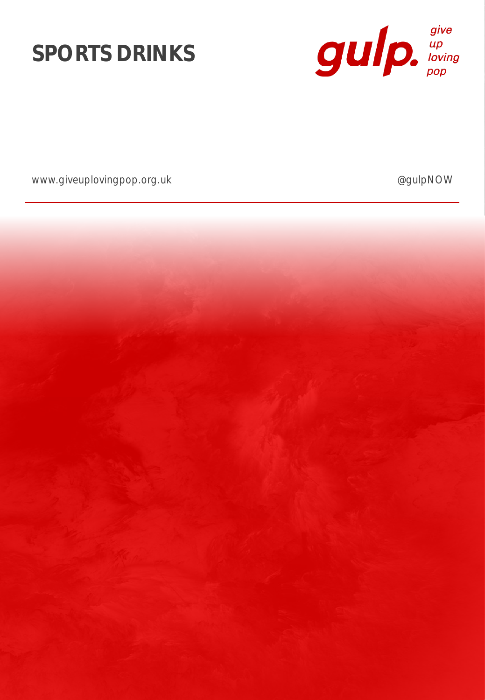



www.giveuplovingpop.org.uk and a set of the control of the control of the control of the control of the control of the control of the control of the control of the control of the control of the control of the control of th

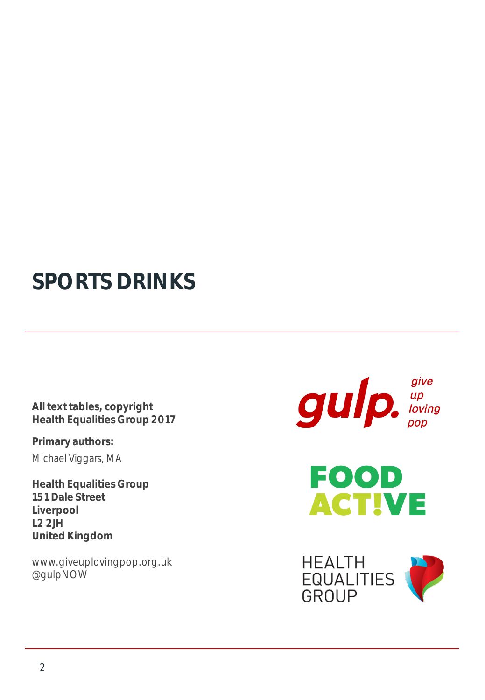## **SPORTS DRINKS**

**All text tables, copyright Health Equalities Group 2017**

**Primary authors:** Michael Viggars, MA

**Health Equalities Group 151 Dale Street Liverpool L2 2JH United Kingdom**

www.giveuplovingpop.org.uk @gulpNOW

 $g$ ulp.  $\int_{\text{Poisson}}^{\text{give}}$ 



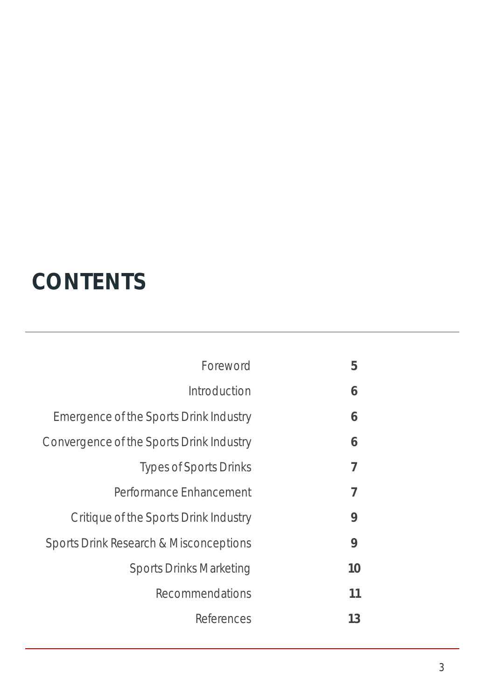## **CONTENTS**

| Foreword                                 | 5  |
|------------------------------------------|----|
| Introduction                             | 6  |
| Emergence of the Sports Drink Industry   | 6  |
| Convergence of the Sports Drink Industry | 6  |
| <b>Types of Sports Drinks</b>            | 7  |
| Performance Enhancement                  | 7  |
| Critique of the Sports Drink Industry    | 9  |
| Sports Drink Research & Misconceptions   | 9  |
| <b>Sports Drinks Marketing</b>           | 10 |
| Recommendations                          | 11 |
| References                               | 13 |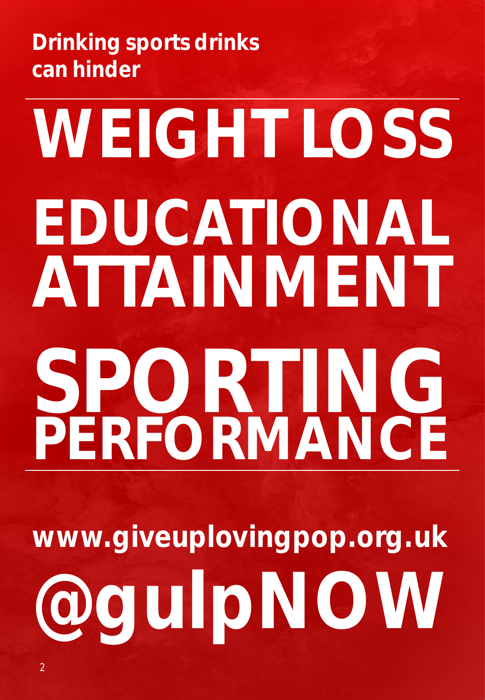**Drinking sports drinks can hinder**

# **WEIGHT LOSS EDUCATIONAL ATTAINMENT SPORTING PERFORMANCE**

**www.giveuplovingpop.org.uk @gulpNOW**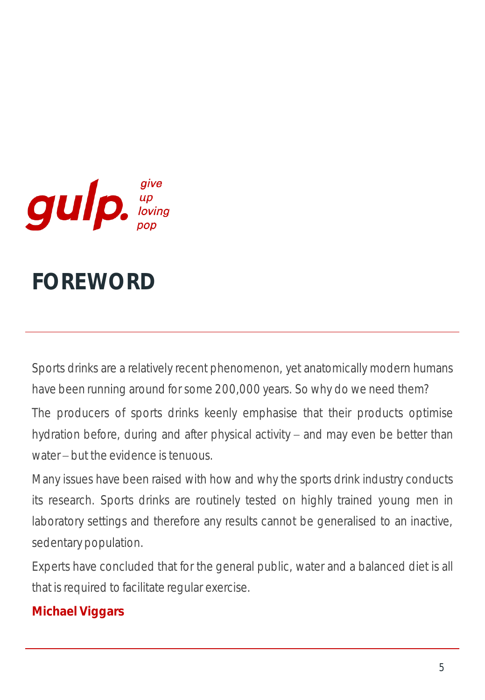

## **FOREWORD**

Sports drinks are a relatively recent phenomenon, yet anatomically modern humans have been running around for some 200,000 years. So why do we need them?

The producers of sports drinks keenly emphasise that their products optimise hydration before, during and after physical activity  $-$  and may even be better than water – but the evidence is tenuous.

Many issues have been raised with how and why the sports drink industry conducts its research. Sports drinks are routinely tested on highly trained young men in laboratory settings and therefore any results cannot be generalised to an inactive, sedentary population.

Experts have concluded that for the general public, water and a balanced diet is all that is required to facilitate regular exercise.

### **Michael Viggars**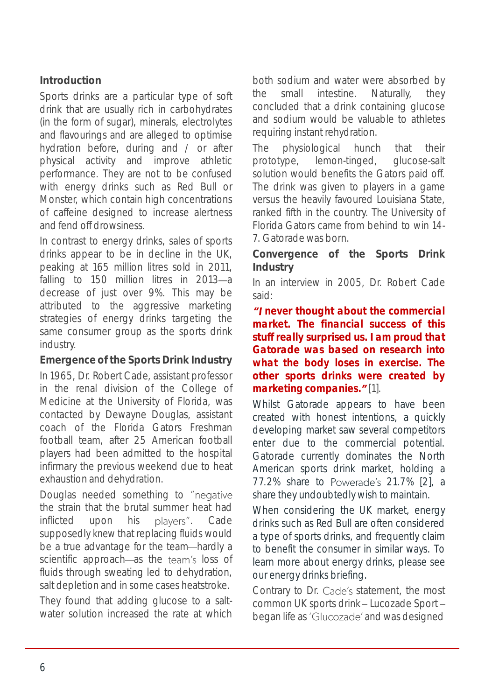#### **Introduction**

Sports drinks are a particular type of soft drink that are usually rich in carbohydrates (in the form of sugar), minerals, electrolytes and flavourings and are alleged to optimise hydration before, during and / or after physical activity and improve athletic performance. They are not to be confused with energy drinks such as Red Bull or Monster, which contain high concentrations of caffeine designed to increase alertness and fend off drowsiness.

In contrast to energy drinks, sales of sports drinks appear to be in decline in the UK, peaking at 165 million litres sold in 2011, falling to 150 million litres in 2013-a decrease of just over 9%. This may be attributed to the aggressive marketing strategies of energy drinks targeting the same consumer group as the sports drink industry.

**Emergence of the Sports Drink Industry** In 1965, Dr. Robert Cade, assistant professor in the renal division of the College of Medicine at the University of Florida, was contacted by Dewayne Douglas, assistant coach of the Florida Gators Freshman football team, after 25 American football players had been admitted to the hospital infirmary the previous weekend due to heat exhaustion and dehydration.

Douglas needed something to "negative the strain that the brutal summer heat had inflicted upon his players". Cade supposedly *knew* that replacing fluids would be a true advantage for the team-hardly a scientific approach—as the team's loss of fluids through sweating led to dehydration, salt depletion and in some cases heatstroke.

They found that adding glucose to a saltwater solution increased the rate at which

both sodium and water were absorbed by the small intestine. Naturally, they concluded that a drink containing glucose and sodium would be valuable to athletes requiring instant rehydration.

The physiological hunch that their prototype, lemon-tinged, glucose-salt solution would benefits the Gators paid off. The drink was given to players in a game versus the heavily favoured Louisiana State, ranked fifth in the country. The University of Florida Gators came from behind to win 14- 7. Gatorade was born.

**Convergence of the Sports Drink Industry**

In an interview in 2005, Dr. Robert Cade said:

*never thought about the commercial market. The financial success of this stuff really surprised us. I am proud that Gatorade was based on research into what the body loses in exercise. The other sports drinks were created by marketing companies.* "[1].

Whilst Gatorade appears to have been created with honest intentions, a quickly developing market saw several competitors enter due to the commercial potential. Gatorade currently dominates the North American sports drink market, holding a 77.2% share to Powerade's 21.7% [2], a share they undoubtedly wish to maintain.

When considering the UK market, energy drinks such as Red Bull are often considered a type of sports drinks, and frequently claim to benefit the consumer in similar ways. To learn more about energy drinks, please see our energy drinks briefing.

Contrary to Dr. Cade's statement, the most common UK sports drink - Lucozade Sport began life as 'Glucozade' and was designed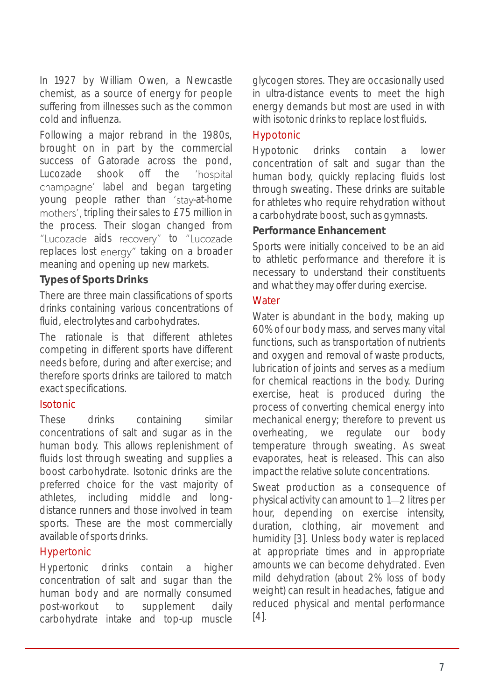In 1927 by William Owen, a Newcastle chemist, as a source of energy for people suffering from illnesses such as the common cold and influenza.

Following a major rebrand in the 1980s, brought on in part by the commercial success of Gatorade across the pond, Lucozade shook off the 'hospital champagne' label and began targeting young people rather than 'stay-at-home mothers', tripling their sales to £75 million in the process. Their slogan changed from "Lucozade aids recovery" to "Lucozade replaces lost energy" taking on a broader meaning and opening up new markets.

#### **Types of Sports Drinks**

There are three main classifications of sports drinks containing various concentrations of fluid, electrolytes and carbohydrates.

The rationale is that different athletes competing in different sports have different needs before, during and after exercise; and therefore sports drinks are tailored to match exact specifications.

#### Isotonic

These drinks containing similar concentrations of salt and sugar as in the human body. This allows replenishment of fluids lost through sweating and supplies a boost carbohydrate. Isotonic drinks are the preferred choice for the vast majority of athletes, including middle and longdistance runners and those involved in team sports. These are the most commercially available of sports drinks.

#### Hypertonic

Hypertonic drinks contain a higher concentration of salt and sugar than the human body and are normally consumed post-workout to supplement daily carbohydrate intake and top-up muscle

glycogen stores. They are occasionally used in ultra-distance events to meet the high energy demands but most are used in with with isotonic drinks to replace lost fluids.

#### Hypotonic

Hypotonic drinks contain a lower concentration of salt and sugar than the human body, quickly replacing fluids lost through sweating. These drinks are suitable for athletes who require rehydration without a carbohydrate boost, such as gymnasts.

#### **Performance Enhancement**

Sports were initially conceived to be an aid to athletic performance and therefore it is necessary to understand their constituents and what they may offer during exercise.

#### **Water**

Water is abundant in the body, making up 60% of our body mass, and serves many vital functions, such as transportation of nutrients and oxygen and removal of waste products, lubrication of joints and serves as a medium for chemical reactions in the body. During exercise, heat is produced during the process of converting chemical energy into mechanical energy; therefore to prevent us overheating, we regulate our body temperature through sweating. As sweat evaporates, heat is released. This can also impact the relative solute concentrations.

Sweat production as a consequence of physical activity can amount to 1-2 litres per hour, depending on exercise intensity, duration, clothing, air movement and humidity [3]. Unless body water is replaced at appropriate times and in appropriate amounts we can become dehydrated. Even mild dehydration (about 2% loss of body weight) can result in headaches, fatigue and reduced physical and mental performance [4].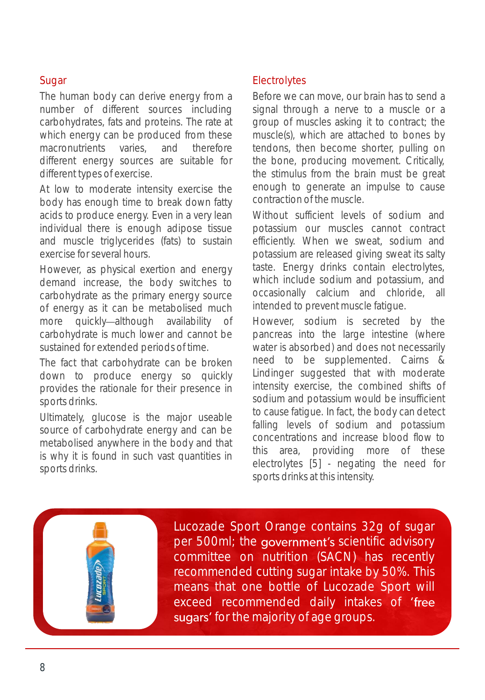#### Sugar

The human body can derive energy from a number of different sources including carbohydrates, fats and proteins. The rate at which energy can be produced from these macronutrients varies, and therefore different energy sources are suitable for different types of exercise.

At low to moderate intensity exercise the body has enough time to break down fatty acids to produce energy. Even in a very lean individual there is enough adipose tissue and muscle triglycerides (fats) to sustain exercise for several hours.

However, as physical exertion and energy demand increase, the body switches to carbohydrate as the primary energy source of energy as it can be metabolised much more quickly-although availability of carbohydrate is much lower and cannot be sustained for extended periods of time.

The fact that carbohydrate can be broken down to produce energy so quickly provides the rationale for their presence in sports drinks.

Ultimately, glucose is the major useable source of carbohydrate energy and can be metabolised anywhere in the body and that is why it is found in such vast quantities in sports drinks.

#### **Electrolytes**

Before we can move, our brain has to send a signal through a nerve to a muscle or a group of muscles asking it to contract; the muscle(s), which are attached to bones by tendons, then become shorter, pulling on the bone, producing movement. Critically, the stimulus from the brain must be great enough to generate an impulse to cause contraction of the muscle.

Without sufficient levels of sodium and potassium our muscles cannot contract efficiently. When we sweat, sodium and potassium are released giving sweat its salty taste. Energy drinks contain electrolytes, which include sodium and potassium, and occasionally calcium and chloride, all intended to prevent muscle fatigue.

However, sodium is secreted by the pancreas into the large intestine (where water is absorbed) and does not necessarily need to be supplemented. Cairns & Lindinger suggested that with moderate intensity exercise, the combined shifts of sodium and potassium would be insufficient to cause fatigue. In fact, the body can detect falling levels of sodium and potassium concentrations and increase blood flow to this area, providing more of these electrolytes [5] - negating the need for sports drinks at this intensity.

Lucozade Sport Orange contains 32g of sugar per 500ml; the government's scientific advisory committee on nutrition (SACN) has recently recommended cutting sugar intake by 50%. This means that one bottle of Lucozade Sport will exceed recommended daily intakes of 'free sugars' for the majority of age groups.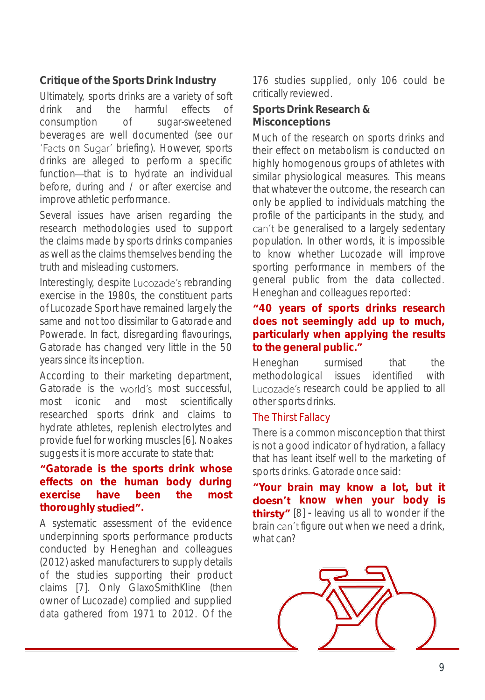**Critique of the Sports Drink Industry**

Ultimately, sports drinks are a variety of soft drink and the harmful effects of consumption of sugar-sweetened beverages are well documented (see our 'Facts on Sugar' briefing). However, sports drinks are alleged to perform a specific function-that is to hydrate an individual before, during and / or after exercise and improve athletic performance.

Several issues have arisen regarding the research methodologies used to support the claims made by sports drinks companies as well as the claims themselves bending the truth and misleading customers.

Interestingly, despite Lucozade's rebranding exercise in the 1980s, the constituent parts of Lucozade Sport have remained largely the same and not too dissimilar to Gatorade and Powerade. In fact, disregarding flavourings, Gatorade has changed very little in the 50 years since its inception.

According to their marketing department, Gatorade is the world's most successful, most iconic and most scientifically researched sports drink and claims to hydrate athletes, replenish electrolytes and provide fuel for working muscles [6]. Noakes suggests it is more accurate to state that:

#### **Gatorade is the sports drink whose effects on the human body during exercise have been the most thoroughly .**

A systematic assessment of the evidence underpinning sports performance products conducted by Heneghan and colleagues (2012) asked manufacturers to supply details of the studies supporting their product claims [7]. Only GlaxoSmithKline (then owner of Lucozade) complied and supplied data gathered from 1971 to 2012. Of the

176 studies supplied, only 106 could be critically reviewed.

**Sports Drink Research & Misconceptions**

Much of the research on sports drinks and their effect on metabolism is conducted on highly homogenous groups of athletes with similar physiological measures. This means that whatever the outcome, the research can only be applied to individuals matching the profile of the participants in the study, and can't be generalised to a largely sedentary population. In other words, it is impossible to know whether Lucozade will improve sporting performance in members of the general public from the data collected. Heneghan and colleagues reported:

#### **40 years of sports drinks research does not seemingly add up to much, particularly when applying the results to the general public.**

Heneghan surmised that the methodological issues identified with Lucozade's research could be applied to all other sports drinks.

#### The Thirst Fallacy

There is a common misconception that thirst is not a good indicator of hydration, a fallacy that has leant itself well to the marketing of sports drinks. Gatorade once said:

**Your brain may know a lot, but it k k when your body** is **thirsty"** [8] - leaving us all to wonder if the brain can't figure out when we need a drink, what can?

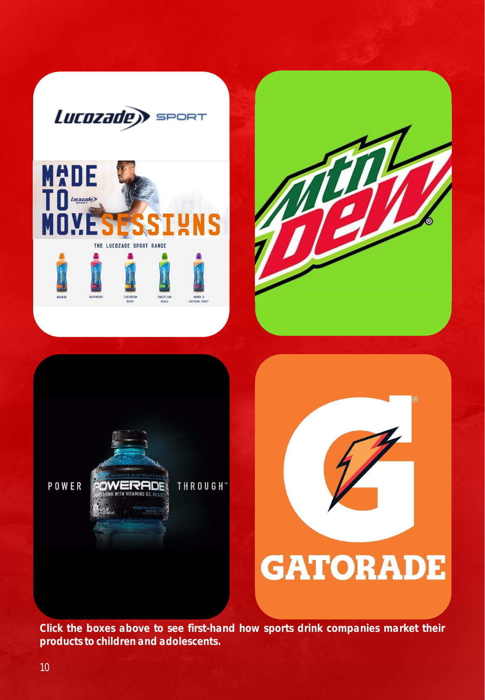

*Click the boxes above to see first-hand how sports drink companies market their products to children and adolescents.*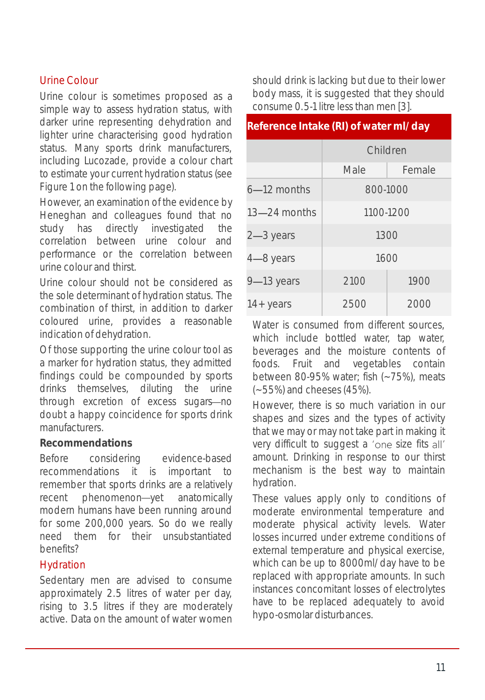#### Urine Colour

Urine colour is sometimes proposed as a simple way to assess hydration status, with darker urine representing dehydration and lighter urine characterising good hydration status. Many sports drink manufacturers, including Lucozade, provide a colour chart to estimate your current hydration status (see Figure 1 on the following page).

However, an examination of the evidence by Heneghan and colleagues found that no study has directly investigated the correlation between urine colour and performance or the correlation between urine colour and thirst.

Urine colour should not be considered as the sole determinant of hydration status. The combination of thirst, in addition to darker coloured urine, provides a reasonable indication of dehydration.

Of those supporting the urine colour tool as a marker for hydration status, they admitted findings could be compounded by sports drinks themselves, diluting the urine through excretion of excess sugars-no doubt a happy coincidence for sports drink manufacturers.

#### **Recommendations**

Before considering evidence-based recommendations it is important to remember that sports drinks are a relatively recent phenomenon-yet anatomically modern humans have been running around for some 200,000 years. So do we really need them for their unsubstantiated benefits?

#### Hydration

Sedentary men are advised to consume approximately 2.5 litres of water per day, rising to 3.5 litres if they are moderately active. Data on the amount of water women

should drink is lacking but due to their lower body mass, it is suggested that they should consume 0.5-1 litre less than men [3].

#### **Reference Intake (RI) of water ml/day**

|                  | Children  |        |
|------------------|-----------|--------|
|                  | Male      | Female |
| 6-12 months      | 800-1000  |        |
| $13 - 24$ months | 1100-1200 |        |
| $2 - 3$ years    | 1300      |        |
| 4-8 years        | 1600      |        |
| 9-13 years       | 2100      | 1900   |
| 14 + years       | 2500      | 2000   |

Water is consumed from different sources. which include bottled water, tap water, beverages and the moisture contents of foods. Fruit and vegetables contain between 80-95% water; fish (~75%), meats (~55%) and cheeses(45%).

However, there is so much variation in our shapes and sizes and the types of activity that we may or may not take part in making it very difficult to suggest a 'one size fits all' amount. Drinking in response to our thirst mechanism is the best way to maintain hydration.

These values apply only to conditions of moderate environmental temperature and moderate physical activity levels. Water losses incurred under extreme conditions of external temperature and physical exercise, which can be up to 8000ml/day have to be replaced with appropriate amounts. In such instances concomitant losses of electrolytes have to be replaced adequately to avoid hypo-osmolar disturbances.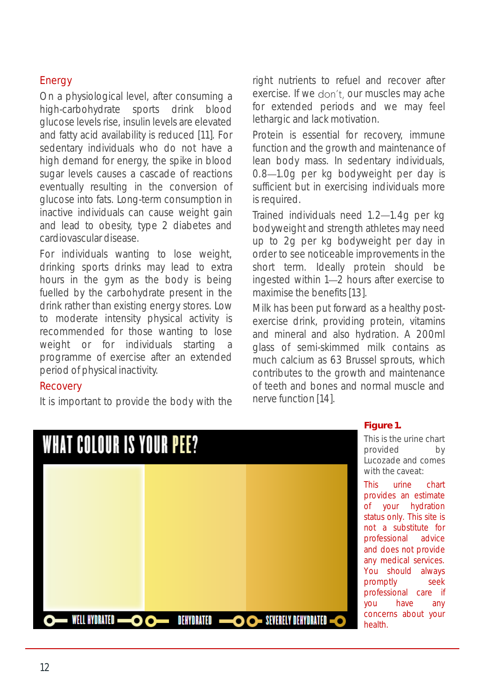#### Energy

On a physiological level, after consuming a high-carbohydrate sports drink blood glucose levels rise, insulin levels are elevated and fatty acid availability is reduced [11]. For sedentary individuals who do not have a high demand for energy, the spike in blood sugar levels causes a cascade of reactions eventually resulting in the conversion of glucose into fats. Long-term consumption in inactive individuals can cause weight gain and lead to obesity, type 2 diabetes and cardiovascular disease.

For individuals wanting to lose weight, drinking sports drinks may lead to extra hours in the gym as the body is being fuelled by the carbohydrate present in the drink rather than existing energy stores. Low to moderate intensity physical activity is recommended for those wanting to lose weight or for individuals starting a programme of exercise after an extended period of physical inactivity.

#### **Recovery**

It is important to provide the body with the

right nutrients to refuel and recover after exercise. If we don't, our muscles may ache for extended periods and we may feel lethargic and lack motivation.

Protein is essential for recovery, immune function and the growth and maintenance of lean body mass. In sedentary individuals, 0.8 - 1.0g per kg bodyweight per day is sufficient but in exercising individuals more isrequired.

Trained individuals need 1.2-1.4g per kg bodyweight and strength athletes may need up to 2g per kg bodyweight per day in order to see noticeable improvements in the short term. Ideally protein should be ingested within 1-2 hours after exercise to maximise the benefits [13].

Milk has been put forward as a healthy postexercise drink, providing protein, vitamins and mineral and also hydration. A 200ml glass of semi-skimmed milk contains as much calcium as 63 Brussel sprouts, which contributes to the growth and maintenance of teeth and bones and normal muscle and nerve function [14].



#### **Figure 1.**

This is the urine chart provided by Lucozade and comes with the caveat:

This urine chart provides an estimate of your hydration status only. This site is not a substitute for professional advice and does not provide any medical services. You should always promptly seek professional care if you have any concerns about your health.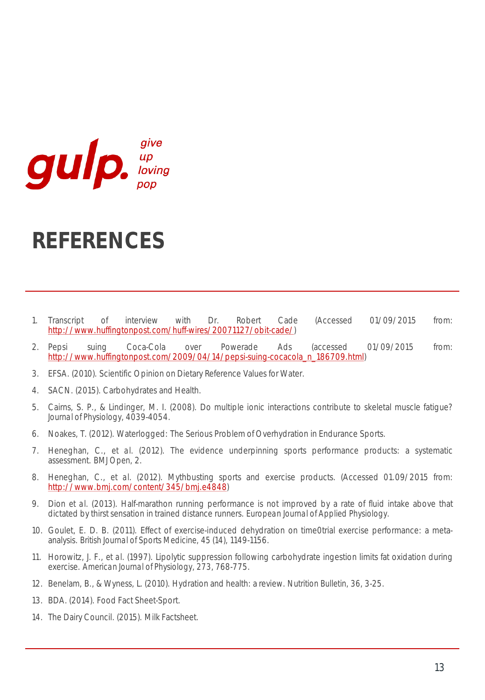

## **REFERENCES**

- 1. Transcript of interview with Dr. Robert Cade (Accessed 01/09/2015 from: <http://www.huffingtonpost.com/huff-wires/20071127/obit-cade/>)
- 2. Pepsi suing Coca-Cola over Powerade Ads (accessed 01/09/2015 from: [http://www.huffingtonpost.com/2009/04/14/pepsi-suing-cocacola\\_n\\_186709.html](http://www.huffingtonpost.com/2009/04/14/pepsi-suing-cocacola_n_186709.html))
- 3. EFSA. (2010). Scientific Opinion on Dietary Reference Values for Water.
- 4. SACN. (2015). Carbohydrates and Health.
- 5. Cairns, S. P., & Lindinger, M. I. (2008). Do multiple ionic interactions contribute to skeletal muscle fatigue? *Journal of Physiology,* 4039-4054.
- 6. Noakes, T. (2012). Waterlogged: The Serious Problem of Overhydration in Endurance Sports.
- 7. Heneghan, C., *et al.* (2012). The evidence underpinning sports performance products: a systematic assessment. *BMJ Open,* 2.
- 8. Heneghan, C., *et al.* (2012). Mythbusting sports and exercise products. (Accessed 01.09/2015 from: [http://www.bmj.com/content/345/bmj.e4848\)](http://www.bmj.com/content/345/bmj.e4848)
- 9. Dion *et al.* (2013). Half-marathon running performance is not improved by a rate of fluid intake above that dictated by thirst sensation in trained distance runners. *European Journal of Applied Physiology.*
- 10. Goulet, E. D. B. (2011). Effect of exercise-induced dehydration on time0trial exercise performance: a metaanalysis. *British Journal of Sports Medicine, 45* (14), 1149-1156.
- 11. Horowitz, J. F., *et al.* (1997). Lipolytic suppression following carbohydrate ingestion limits fat oxidation during exercise. *American Journal of Physiology, 273,* 768-775.
- 12. Benelam, B., & Wyness, L. (2010). Hydration and health: a review. *Nutrition Bulletin, 36,* 3-25.
- 13. BDA. (2014). Food Fact Sheet-Sport.
- 14. The Dairy Council. (2015). Milk Factsheet.